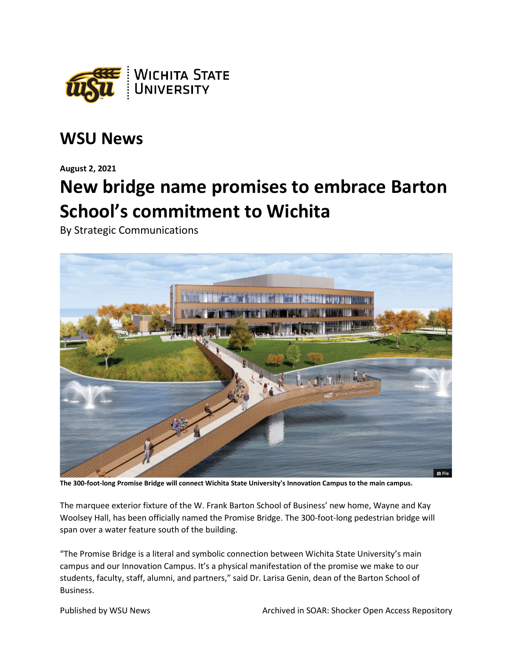

## **WSU News**

**August 2, 2021**

## **New bridge name promises to embrace Barton School's commitment to Wichita**

By Strategic Communications



**The 300-foot-long Promise Bridge will connect Wichita State University's Innovation Campus to the main campus.**

The marquee exterior fixture of the W. Frank Barton School of Business' new home, Wayne and Kay Woolsey Hall, has been officially named the Promise Bridge. The 300-foot-long pedestrian bridge will span over a water feature south of the building.

"The Promise Bridge is a literal and symbolic connection between Wichita State University's main campus and our Innovation Campus. It's a physical manifestation of the promise we make to our students, faculty, staff, alumni, and partners," said Dr. Larisa Genin, dean of the Barton School of Business.